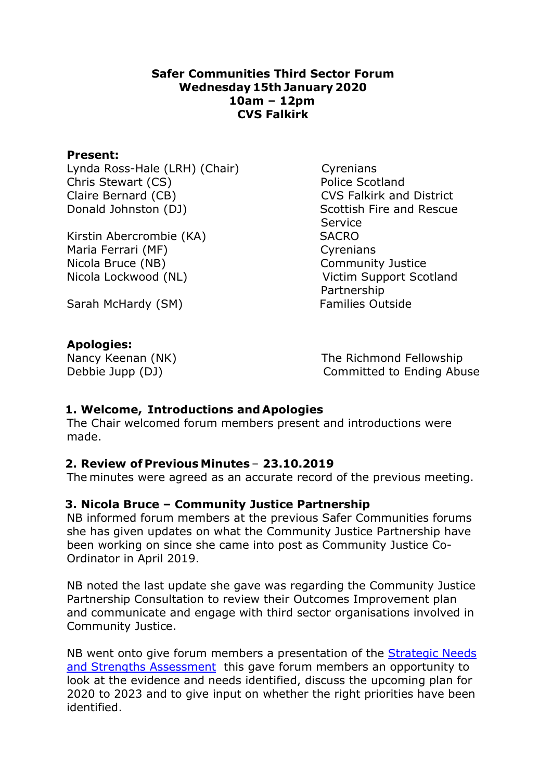#### Safer Communities Third Sector Forum  Wednesday 15th January 2020  10am – 12pm   CVS Falkirk

#### Present:

Lynda Ross-Hale (LRH) (Chair)         Cyrenians Chris Stewart (CS) Police Scotland Claire Bernard (CB) CVS Falkirk and District Donald Johnston (DJ) Scottish Fire and Rescue

Kirstin Abercrombie (KA) SACRO Maria Ferrari (MF) Cyrenians Nicola Bruce (NB)  Community Justice Nicola Lockwood (NL)  Victim Support Scotland

 Service Partnership

Sarah McHardy (SM) Families Outside

### Apologies:

Nancy Keenan (NK) The Richmond Fellowship Debbie Jupp (DJ) Committed to Ending Abuse

### 1. Welcome,  Introductions and Apologies

The Chair welcomed forum members present and introductions were made.  

### 2. Review of Previous Minutes – 23.10.2019

The minutes were agreed as an accurate record of the previous meeting.

### 3. Nicola Bruce – Community Justice Partnership

NB informed forum members at the previous Safer Communities forums she has given updates on what the Community Justice Partnership have been working on since she came into post as Community Justice Co-Ordinator in April 2019.

NB noted the last update she gave was regarding the Community Justice Partnership Consultation to review their Outcomes Improvement plan and communicate and engage with third sector organisations involved in Community Justice.

NB went onto give forum members a presentation of the **Strategic Needs** and Strengths Assessment this gave forum members an opportunity to look at the evidence and needs identified, discuss the upcoming plan for 2020 to 2023 and to give input on whether the right priorities have been identified.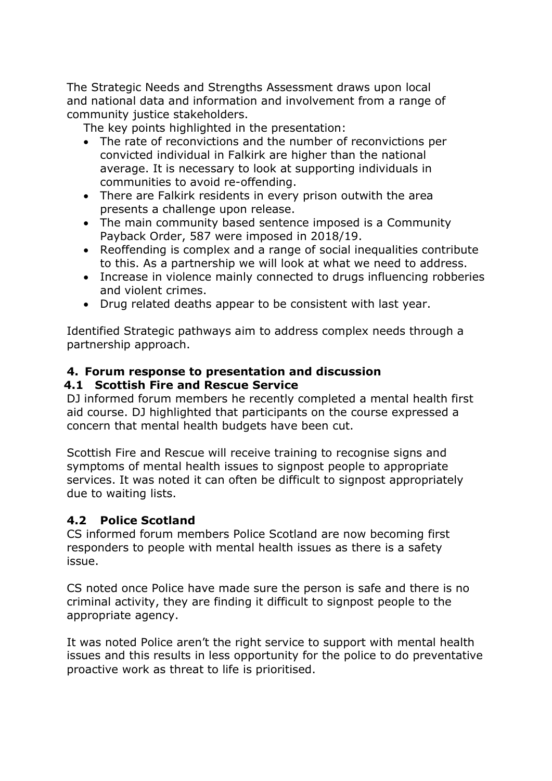The Strategic Needs and Strengths Assessment draws upon local and national data and information and involvement from a range of community justice stakeholders. 

The key points highlighted in the presentation:

- The rate of reconvictions and the number of reconvictions per convicted individual in Falkirk are higher than the national average. It is necessary to look at supporting individuals in communities to avoid re-offending.
- There are Falkirk residents in every prison outwith the area presents a challenge upon release.
- The main community based sentence imposed is a Community Payback Order, 587 were imposed in 2018/19.
- Reoffending is complex and a range of social inequalities contribute to this. As a partnership we will look at what we need to address.
- Increase in violence mainly connected to drugs influencing robberies and violent crimes.
- Drug related deaths appear to be consistent with last year.

Identified Strategic pathways aim to address complex needs through a partnership approach.

# 4. Forum response to presentation and discussion

## 4.1 Scottish Fire and Rescue Service

DJ informed forum members he recently completed a mental health first aid course. DJ highlighted that participants on the course expressed a concern that mental health budgets have been cut.

Scottish Fire and Rescue will receive training to recognise signs and symptoms of mental health issues to signpost people to appropriate services. It was noted it can often be difficult to signpost appropriately due to waiting lists.

## 4.2 Police Scotland

CS informed forum members Police Scotland are now becoming first responders to people with mental health issues as there is a safety issue.

CS noted once Police have made sure the person is safe and there is no criminal activity, they are finding it difficult to signpost people to the appropriate agency.

It was noted Police aren't the right service to support with mental health issues and this results in less opportunity for the police to do preventative proactive work as threat to life is prioritised.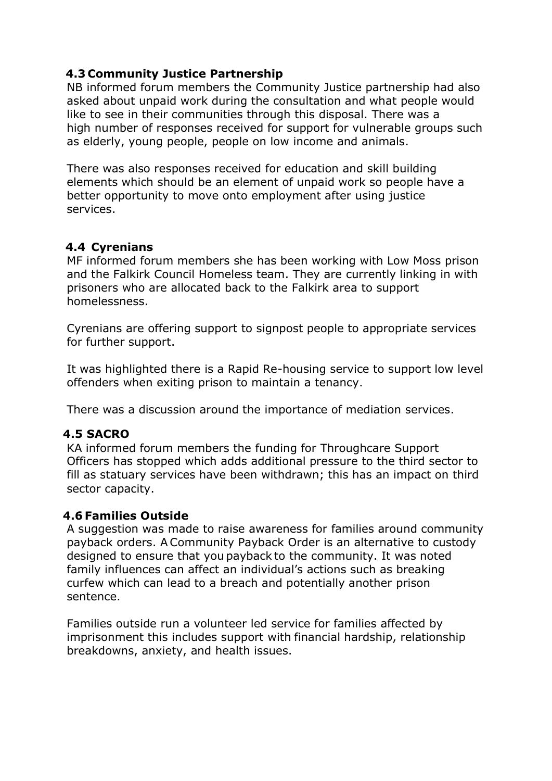### 4.3 Community Justice Partnership

NB informed forum members the Community Justice partnership had also asked about unpaid work during the consultation and what people would like to see in their communities through this disposal. There was a high number of responses received for support for vulnerable groups such as elderly, young people, people on low income and animals.

There was also responses received for education and skill building elements which should be an element of unpaid work so people have a better opportunity to move onto employment after using justice services.

### 4.4  Cyrenians

MF informed forum members she has been working with Low Moss prison and the Falkirk Council Homeless team. They are currently linking in with prisoners who are allocated back to the Falkirk area to support homelessness.

Cyrenians are offering support to signpost people to appropriate services for further support.

It was highlighted there is a Rapid Re-housing service to support low level offenders when exiting prison to maintain a tenancy.

There was a discussion around the importance of mediation services.

### 4.5 SACRO

KA informed forum members the funding for Throughcare Support Officers has stopped which adds additional pressure to the third sector to fill as statuary services have been withdrawn; this has an impact on third sector capacity.

### 4.6 Families Outside

A suggestion was made to raise awareness for families around community payback orders. A Community Payback Order is an alternative to custody designed to ensure that you payback to the community. It was noted family influences can affect an individual's actions such as breaking curfew which can lead to a breach and potentially another prison sentence.

Families outside run a volunteer led service for families affected by imprisonment this includes support with financial hardship, relationship breakdowns, anxiety, and health issues.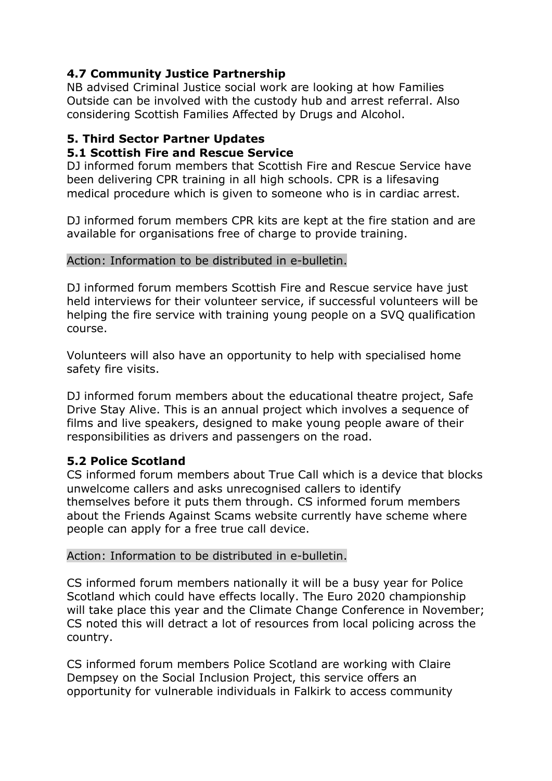## 4.7 Community Justice Partnership

NB advised Criminal Justice social work are looking at how Families Outside can be involved with the custody hub and arrest referral. Also considering Scottish Families Affected by Drugs and Alcohol.

# 5. Third Sector Partner Updates

### 5.1 Scottish Fire and Rescue Service

DJ informed forum members that Scottish Fire and Rescue Service have been delivering CPR training in all high schools. CPR is a lifesaving medical procedure which is given to someone who is in cardiac arrest. 

DJ informed forum members CPR kits are kept at the fire station and are available for organisations free of charge to provide training.

#### Action: Information to be distributed in e-bulletin.

DJ informed forum members Scottish Fire and Rescue service have just held interviews for their volunteer service, if successful volunteers will be helping the fire service with training young people on a SVQ qualification course.

Volunteers will also have an opportunity to help with specialised home safety fire visits.

DJ informed forum members about the educational theatre project, Safe Drive Stay Alive. This is an annual project which involves a sequence of films and live speakers, designed to make young people aware of their responsibilities as drivers and passengers on the road.

## 5.2 Police Scotland

CS informed forum members about True Call which is a device that blocks unwelcome callers and asks unrecognised callers to identify themselves before it puts them through. CS informed forum members about the Friends Against Scams website currently have scheme where people can apply for a free true call device.

### Action: Information to be distributed in e-bulletin.

CS informed forum members nationally it will be a busy year for Police Scotland which could have effects locally. The Euro 2020 championship will take place this year and the Climate Change Conference in November; CS noted this will detract a lot of resources from local policing across the country.

CS informed forum members Police Scotland are working with Claire Dempsey on the Social Inclusion Project, this service offers an opportunity for vulnerable individuals in Falkirk to access community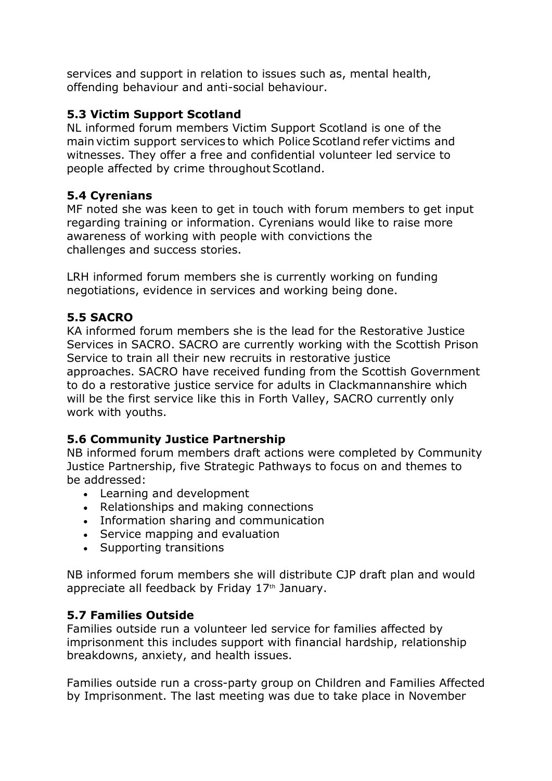services and support in relation to issues such as, mental health, offending behaviour and anti-social behaviour.

## 5.3 Victim Support Scotland

NL informed forum members Victim Support Scotland is one of the main victim support services to which Police Scotland refer victims and witnesses. They offer a free and confidential volunteer led service to people affected by crime throughout Scotland.

## 5.4 Cyrenians

MF noted she was keen to get in touch with forum members to get input regarding training or information. Cyrenians would like to raise more awareness of working with people with convictions the challenges and success stories.

LRH informed forum members she is currently working on funding negotiations, evidence in services and working being done.

# 5.5 SACRO

KA informed forum members she is the lead for the Restorative Justice Services in SACRO. SACRO are currently working with the Scottish Prison Service to train all their new recruits in restorative justice approaches. SACRO have received funding from the Scottish Government to do a restorative justice service for adults in Clackmannanshire which will be the first service like this in Forth Valley, SACRO currently only work with youths.

# 5.6 Community Justice Partnership

NB informed forum members draft actions were completed by Community Justice Partnership, five Strategic Pathways to focus on and themes to be addressed:

- Learning and development
- Relationships and making connections
- Information sharing and communication
- Service mapping and evaluation
- Supporting transitions

NB informed forum members she will distribute CJP draft plan and would appreciate all feedback by Friday 17<sup>th</sup> January.

# 5.7 Families Outside

Families outside run a volunteer led service for families affected by imprisonment this includes support with financial hardship, relationship breakdowns, anxiety, and health issues.

Families outside run a cross-party group on Children and Families Affected by Imprisonment. The last meeting was due to take place in November